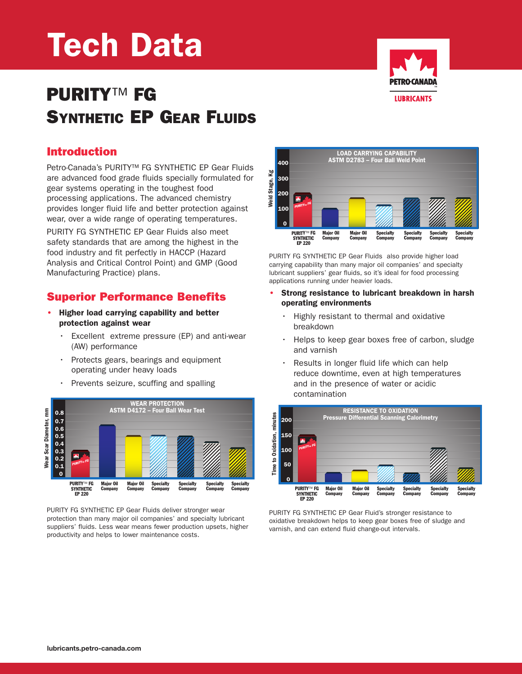# **Tech Data**

## **PURITY**™ **FG SYNTHETIC EP GEAR FLUIDS**

#### **Introduction**

Petro-Canada's PURITY™ FG SYNTHETIC EP Gear Fluids are advanced food grade fluids specially formulated for gear systems operating in the toughest food processing applications. The advanced chemistry provides longer fluid life and better protection against wear, over a wide range of operating temperatures.

PURITY FG SYNTHETIC EP Gear Fluids also meet safety standards that are among the highest in the food industry and fit perfectly in HACCP (Hazard Analysis and Critical Control Point) and GMP (Good Manufacturing Practice) plans.

#### **Superior Performance Benefits**

- **• Higher load carrying capability and better protection against wear**
	- Excellent extreme pressure (EP) and anti-wear (AW) performance
	- Protects gears, bearings and equipment operating under heavy loads
	- Prevents seizure, scuffing and spalling



PURITY FG SYNTHETIC EP Gear Fluids deliver stronger wear protection than many major oil companies' and specialty lubricant suppliers' fluids. Less wear means fewer production upsets, higher productivity and helps to lower maintenance costs.



PURITY FG SYNTHETIC EP Gear Fluids also provide higher load carrying capability than many major oil companies' and specialty lubricant suppliers' gear fluids, so it's ideal for food processing applications running under heavier loads.

- **• Strong resistance to lubricant breakdown in harsh operating environments**
	- Highly resistant to thermal and oxidative breakdown
	- Helps to keep gear boxes free of carbon, sludge and varnish
	- Results in longer fluid life which can help reduce downtime, even at high temperatures and in the presence of water or acidic contamination



PURITY FG SYNTHETIC EP Gear Fluid's stronger resistance to oxidative breakdown helps to keep gear boxes free of sludge and varnish, and can extend fluid change-out intervals.

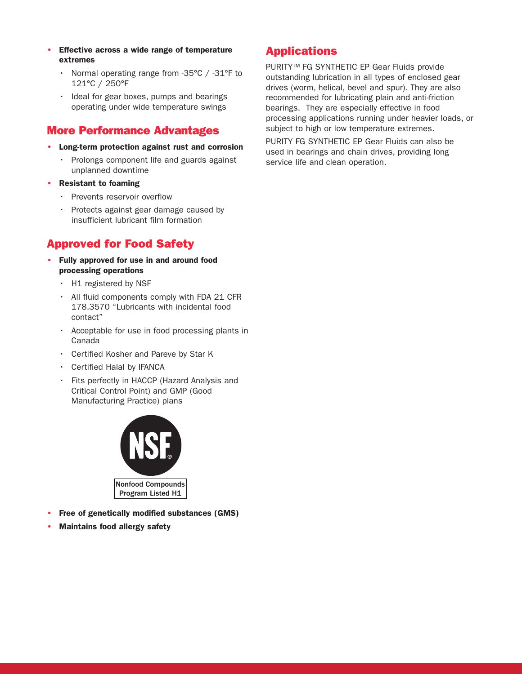- **• Effective across a wide range of temperature extremes**
	- Normal operating range from -35°C / -31°F to 121°C / 250°F
	- Ideal for gear boxes, pumps and bearings operating under wide temperature swings

#### **More Performance Advantages**

- **• Long-term protection against rust and corrosion**
	- Prolongs component life and guards against unplanned downtime
- **• Resistant to foaming**
	- Prevents reservoir overflow
	- Protects against gear damage caused by insufficient lubricant film formation

#### **Approved for Food Safety**

- **• Fully approved for use in and around food processing operations**
	- H1 registered by NSF
	- All fluid components comply with FDA 21 CFR 178.3570 "Lubricants with incidental food contact"
	- Acceptable for use in food processing plants in Canada
	- Certified Kosher and Pareve by Star K
	- Certified Halal by IFANCA
	- Fits perfectly in HACCP (Hazard Analysis and Critical Control Point) and GMP (Good Manufacturing Practice) plans



- **• Free of genetically modified substances (GMS)**
- **• Maintains food allergy safety**

#### **Applications**

PURITY™ FG SYNTHETIC EP Gear Fluids provide outstanding lubrication in all types of enclosed gear drives (worm, helical, bevel and spur). They are also recommended for lubricating plain and anti-friction bearings. They are especially effective in food processing applications running under heavier loads, or subject to high or low temperature extremes.

PURITY FG SYNTHETIC EP Gear Fluids can also be used in bearings and chain drives, providing long service life and clean operation.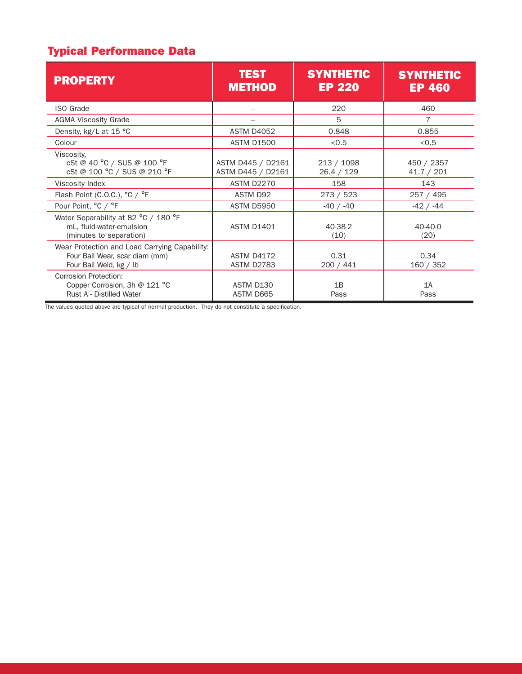### **Typical Performance Data**

| <b>PROPERTY</b>                                                                                            | <b>TEST</b><br><b>METHOD</b>           | <b>SYNTHETIC</b><br><b>EP 220</b> | <b>SYNTHETIC</b><br><b>EP 460</b> |
|------------------------------------------------------------------------------------------------------------|----------------------------------------|-----------------------------------|-----------------------------------|
| <b>ISO Grade</b>                                                                                           |                                        | 220                               | 460                               |
| <b>AGMA Viscosity Grade</b>                                                                                |                                        | 5                                 | $\overline{7}$                    |
| Density, kg/L at 15 °C                                                                                     | <b>ASTM D4052</b>                      | 0.848                             | 0.855                             |
| Colour                                                                                                     | <b>ASTM D1500</b>                      | < 0.5                             | < 0.5                             |
| Viscosity,<br>cSt @ 40 °C / SUS @ 100 °F<br>cSt @ 100 °C / SUS @ 210 °F                                    | ASTM D445 / D2161<br>ASTM D445 / D2161 | 213 / 1098<br>26.4 / 129          | 450 / 2357<br>41.7 / 201          |
| Viscosity Index                                                                                            | <b>ASTM D2270</b>                      | 158                               | 143                               |
| Flash Point (C.O.C.), °C / °F                                                                              | ASTM D92                               | 273 / 523                         | 257 / 495                         |
| Pour Point, °C / °F                                                                                        | <b>ASTM D5950</b>                      | $-40 / -40$                       | $-42 / -44$                       |
| Water Separability at 82 °C / 180 °F<br>mL, fluid-water-emulsion<br>(minutes to separation)                | <b>ASTM D1401</b>                      | 40-38-2<br>(10)                   | $40 - 40 - 0$<br>(20)             |
| Wear Protection and Load Carrying Capability:<br>Four Ball Wear, scar diam (mm)<br>Four Ball Weld, kg / lb | <b>ASTM D4172</b><br><b>ASTM D2783</b> | 0.31<br>200 / 441                 | 0.34<br>160 / 352                 |
| <b>Corrosion Protection:</b><br>Copper Corrosion, 3h @ 121 °C<br><b>Rust A - Distilled Water</b>           | ASTM D130<br>ASTM D665                 | 1B<br>Pass                        | 1A<br>Pass                        |

The values quoted above are typical of normal production. They do not constitute a specification.